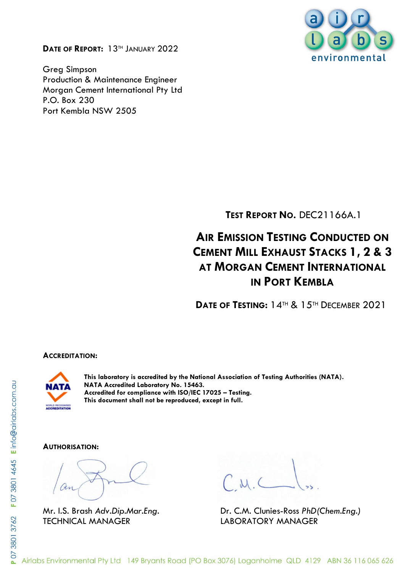**DATE OF REPORT:** 13TH JANUARY 2022

Greg Simpson Production & Maintenance Engineer Morgan Cement International Pty Ltd P.O. Box 230 Port Kembla NSW 2505



**TEST REPORT NO.** DEC21166A.1

# **AIR EMISSION TESTING CONDUCTED ON CEMENT MILL EXHAUST STACKS 1, 2 & 3 AT MORGAN CEMENT INTERNATIONAL IN PORT KEMBLA**

**DATE OF TESTING:** 14TH & 15TH DECEMBER 2021

#### **ACCREDITATION:**



**This laboratory is accredited by the National Association of Testing Authorities (NATA). NATA Accredited Laboratory No. 15463. Accredited for compliance with ISO/IEC 17025 – Testing. This document shall not be reproduced, except in full.**

#### **AUTHORISATION:**

TECHNICAL MANAGER LABORATORY MANAGER

Mr. I.S. Brash *Adv.Dip.Mar.Eng.* Dr. C.M. Clunies-Ross *PhD(Chem.Eng.)*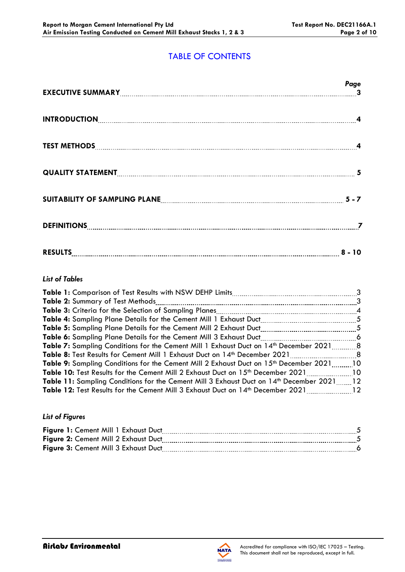# TABLE OF CONTENTS

| EXECUTIVE SUMMARY 3                                                                                                                                                                                                                 | Page |
|-------------------------------------------------------------------------------------------------------------------------------------------------------------------------------------------------------------------------------------|------|
| INTRODUCTION 4                                                                                                                                                                                                                      |      |
|                                                                                                                                                                                                                                     |      |
|                                                                                                                                                                                                                                     |      |
| SUITABILITY OF SAMPLING PLANE <b>[19]</b> The main and the set of a state of a state of a state of a state of a state of a state of a state of a state of a state of a state of a state of a state of a state of a state of a state |      |
|                                                                                                                                                                                                                                     |      |
| RESULTS 8 - 10                                                                                                                                                                                                                      |      |

#### *List of Tables*

|                                                                                                             | $\overline{\phantom{a}}$ 3 |
|-------------------------------------------------------------------------------------------------------------|----------------------------|
|                                                                                                             |                            |
|                                                                                                             |                            |
|                                                                                                             |                            |
|                                                                                                             |                            |
| Table 7: Sampling Conditions for the Cement Mill 1 Exhaust Duct on 14 <sup>th</sup> December 20218          |                            |
|                                                                                                             |                            |
| <b>Table 9:</b> Sampling Conditions for the Cement Mill 2 Exhaust Duct on 15 <sup>th</sup> December 2021    | - 10                       |
| <b>Table 10:</b> Test Results for the Cement Mill 2 Exhaust Duct on 15 <sup>th</sup> December 2021          | $\overline{10}$            |
| <b>Table 11:</b> Sampling Conditions for the Cement Mill 3 Exhaust Duct on 14 <sup>th</sup> December 202112 |                            |
| 12 Table 12: Test Results for the Cement Mill 3 Exhaust Duct on 14th December 2021                          |                            |

#### *List of Figures*

| Figure 1: Cement Mill 1 Exhaust Duct |  |
|--------------------------------------|--|
| Figure 2: Cement Mill 2 Exhaust Duct |  |
| Figure 3: Cement Mill 3 Exhaust Duct |  |
|                                      |  |

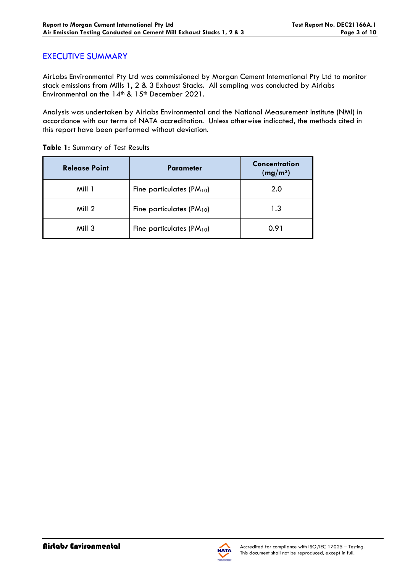## EXECUTIVE SUMMARY

AirLabs Environmental Pty Ltd was commissioned by Morgan Cement International Pty Ltd to monitor stack emissions from Mills 1, 2 & 3 Exhaust Stacks. All sampling was conducted by Airlabs Environmental on the 14<sup>th</sup> & 15<sup>th</sup> December 2021.

Analysis was undertaken by Airlabs Environmental and the National Measurement Institute (NMI) in accordance with our terms of NATA accreditation. Unless otherwise indicated, the methods cited in this report have been performed without deviation.

| <b>Release Point</b> | <b>Parameter</b>                      | Concentration<br>(mg/m $^3$ ) |
|----------------------|---------------------------------------|-------------------------------|
| Mill 1               | Fine particulates ( $PM_{10}$ )       | 2.0                           |
| Mill $2$             | Fine particulates $(PM_{10})$         | 1.3                           |
| Mill 3               | Fine particulates (PM <sub>10</sub> ) | 0.91                          |

**Table 1:** Summary of Test Results

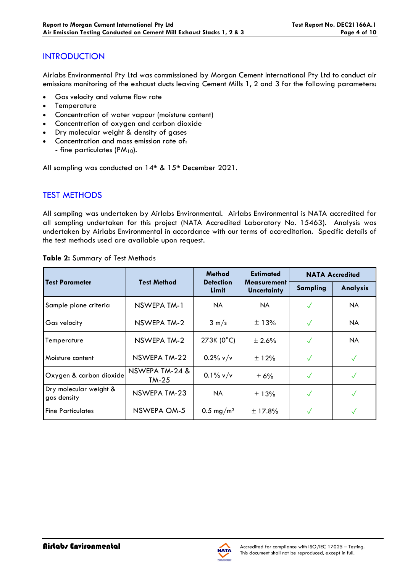## **INTRODUCTION**

Airlabs Environmental Pty Ltd was commissioned by Morgan Cement International Pty Ltd to conduct air emissions monitoring of the exhaust ducts leaving Cement Mills 1, 2 and 3 for the following parameters:

- Gas velocity and volume flow rate
- **Temperature**
- Concentration of water vapour (moisture content)
- Concentration of oxygen and carbon dioxide
- Dry molecular weight & density of gases
- Concentration and mass emission rate of: - fine particulates (PM<sub>10</sub>).

All sampling was conducted on  $14<sup>th</sup>$  &  $15<sup>th</sup>$  December 2021.

# TEST METHODS

All sampling was undertaken by Airlabs Environmental. Airlabs Environmental is NATA accredited for all sampling undertaken for this project (NATA Accredited Laboratory No. 15463). Analysis was undertaken by Airlabs Environmental in accordance with our terms of accreditation. Specific details of the test methods used are available upon request.

|                                       | <b>Test Method</b>        | <b>Method</b>             | <b>Estimated</b>                         | <b>NATA Accredited</b> |                 |
|---------------------------------------|---------------------------|---------------------------|------------------------------------------|------------------------|-----------------|
| <b>Test Parameter</b>                 |                           | <b>Detection</b><br>Limit | <b>Measurement</b><br><b>Uncertainty</b> | Sampling               | <b>Analysis</b> |
| Sample plane criteria                 | NSWEPA TM-1               | NA.                       | NA.                                      | $\checkmark$           | NA.             |
| Gas velocity                          | NSWEPA TM-2               | $3 \text{ m/s}$           | ±13%                                     | $\checkmark$           | <b>NA</b>       |
| Temperature                           | NSWEPA TM-2               | 273K (0°C)                | $\pm 2.6\%$                              | $\checkmark$           | <b>NA</b>       |
| Moisture content                      | NSWEPA TM-22              | $0.2\%$ v/v               | $\pm$ 12%                                | $\sqrt{}$              | $\checkmark$    |
| Oxygen & carbon dioxide               | NSWEPA TM-24 &<br>$TM-25$ | $0.1\%$ v/v               | $\pm 6\%$                                | $\checkmark$           |                 |
| Dry molecular weight &<br>gas density | NSWEPA TM-23              | NA.                       | $\pm$ 13%                                | $\checkmark$           |                 |
| <b>Fine Particulates</b>              | NSWEPA OM-5               | $0.5 \text{ mg/m}^3$      | ± 17.8%                                  | $\checkmark$           |                 |

#### **Table 2:** Summary of Test Methods

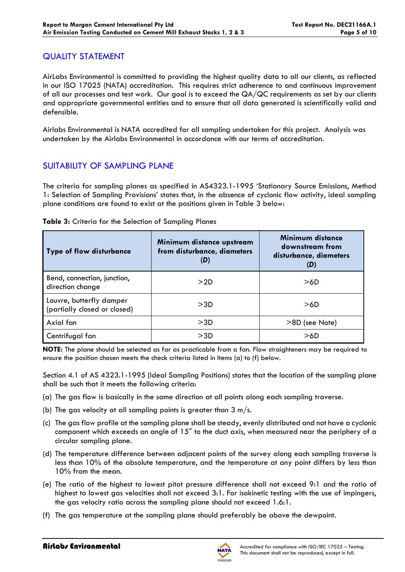## QUALITY STATEMENT

AirLabs Environmental is committed to providing the highest quality data to all our clients, as reflected in our ISO 17025 (NATA) accreditation. This requires strict adherence to and continuous improvement of all our processes and test work. Our goal is to exceed the QA/QC requirements as set by our clients and appropriate governmental entities and to ensure that all data generated is scientifically valid and defensible.

Airlabs Environmental is NATA accredited for all sampling undertaken for this project. Analysis was undertaken by the Airlabs Environmental in accordance with our terms of accreditation.

## SUITABILITY OF SAMPLING PLANE

The criteria for sampling planes as specified in AS4323.1-1995 'Stationary Source Emissions, Method 1: Selection of Sampling Provisions' states that, in the absence of cyclonic flow activity, ideal sampling plane conditions are found to exist at the positions given in Table 3 below:

| <b>Type of flow disturbance</b>                          | Minimum distance upstream<br>from disturbance, diameters<br>(D) | Minimum distance<br>downstream from<br>disturbance, diameters<br>(D) |
|----------------------------------------------------------|-----------------------------------------------------------------|----------------------------------------------------------------------|
| Bend, connection, junction,<br>direction change          | >2D                                                             | >6D                                                                  |
| Louvre, butterfly damper<br>(partially closed or closed) | >3D                                                             | >6D                                                                  |
| Axial fan                                                | >3D                                                             | >8D (see Note)                                                       |
| Centrifugal fan                                          | >3D                                                             | >6D                                                                  |

#### **Table 3:** Criteria for the Selection of Sampling Planes

**NOTE:** The plane should be selected as far as practicable from a fan. Flow straighteners may be required to ensure the position chosen meets the check criteria listed in Items (a) to (f) below.

Section 4.1 of AS 4323.1-1995 (Ideal Sampling Positions) states that the location of the sampling plane shall be such that it meets the following criteria:

- (a) The gas flow is basically in the same direction at all points along each sampling traverse.
- (b) The gas velocity at all sampling points is greater than  $3 \text{ m/s}$ .
- (c) The gas flow profile at the sampling plane shall be steady, evenly distributed and not have a cyclonic component which exceeds an angle of 15° to the duct axis, when measured near the periphery of a circular sampling plane.
- (d) The temperature difference between adjacent points of the survey along each sampling traverse is less than 10% of the absolute temperature, and the temperature at any point differs by less than 10% from the mean.
- (e) The ratio of the highest to lowest pitot pressure difference shall not exceed 9:1 and the ratio of highest to lowest gas velocities shall not exceed 3:1. For isokinetic testing with the use of impingers, the gas velocity ratio across the sampling plane should not exceed 1.6:1.
- (f) The gas temperature at the sampling plane should preferably be above the dewpoint.

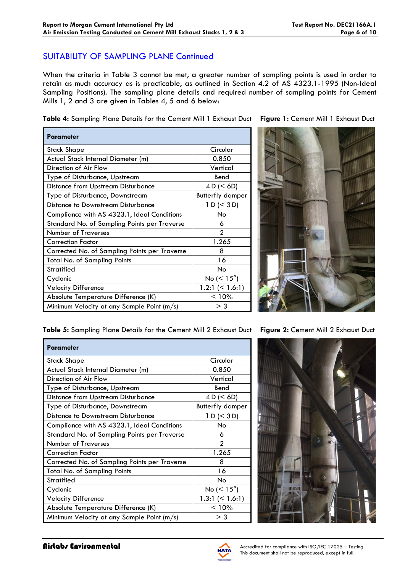### SUITABILITY OF SAMPLING PLANE Continued

When the criteria in Table 3 cannot be met, a greater number of sampling points is used in order to retain as much accuracy as is practicable, as outlined in Section 4.2 of AS 4323.1-1995 (Non-Ideal Sampling Positions). The sampling plane details and required number of sampling points for Cement Mills 1, 2 and 3 are given in Tables 4, 5 and 6 below:

**Table 4:** Sampling Plane Details for the Cement Mill 1 Exhaust Duct **Figure 1:** Cement Mill 1 Exhaust Duct

| Parameter                                     |                          |
|-----------------------------------------------|--------------------------|
| Stack Shape                                   | Circular                 |
| Actual Stack Internal Diameter (m)            | 0.850                    |
| Direction of Air Flow                         | Vertical                 |
| Type of Disturbance, Upstream                 | Bend                     |
| <b>Distance from Upstream Disturbance</b>     | 4 D (< 6D)               |
| Type of Disturbance, Downstream               | <b>Butterfly damper</b>  |
| Distance to Downstream Disturbance            | 1 D (< 3 D)              |
| Compliance with AS 4323.1, Ideal Conditions   | No                       |
| Standard No. of Sampling Points per Traverse  | 6                        |
| <b>Number of Traverses</b>                    | $\mathfrak{p}$           |
| <b>Correction Factor</b>                      | 1.265                    |
| Corrected No. of Sampling Points per Traverse | 8                        |
| Total No. of Sampling Points                  | 16                       |
| Stratified                                    | No                       |
| Cyclonic                                      | No ( $\leq 15^{\circ}$ ) |
| <b>Velocity Difference</b>                    | 1.2:1 $(< 1.6:1)$        |
| Absolute Temperature Difference (K)           | < 10%                    |
| Minimum Velocity at any Sample Point (m/s)    | > 3                      |

**Table 5:** Sampling Plane Details for the Cement Mill 2 Exhaust Duct **Figure 2:** Cement Mill 2 Exhaust Duct

| <b>Parameter</b>                              |                         |  |  |
|-----------------------------------------------|-------------------------|--|--|
| <b>Stack Shape</b>                            | Circular                |  |  |
| Actual Stack Internal Diameter (m)            | 0.850                   |  |  |
| Direction of Air Flow                         | Vertical                |  |  |
| Type of Disturbance, Upstream                 | Bend                    |  |  |
| <b>Distance from Upstream Disturbance</b>     | 4 D (< 6D)              |  |  |
| Type of Disturbance, Downstream               | <b>Butterfly damper</b> |  |  |
| Distance to Downstream Disturbance            | 1 D (< 3 D)             |  |  |
| Compliance with AS 4323.1, Ideal Conditions   | No.                     |  |  |
| Standard No. of Sampling Points per Traverse  | 6                       |  |  |
| <b>Number of Traverses</b>                    | $\mathfrak{D}$          |  |  |
| <b>Correction Factor</b>                      | 1.265                   |  |  |
| Corrected No. of Sampling Points per Traverse | 8                       |  |  |
| <b>Total No. of Sampling Points</b>           | 16                      |  |  |
| <b>Stratified</b>                             | No                      |  |  |
| Cyclonic                                      | No $(< 15^{\circ})$     |  |  |
| <b>Velocity Difference</b>                    | 1.3:1 $($ 1.6:1)        |  |  |
| Absolute Temperature Difference (K)           | < 10%                   |  |  |
| Minimum Velocity at any Sample Point (m/s)    | $>$ 3                   |  |  |





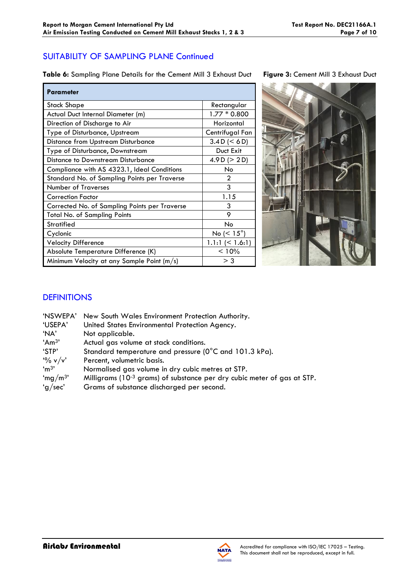# SUITABILITY OF SAMPLING PLANE Continued

**Table 6:** Sampling Plane Details for the Cement Mill 3 Exhaust Duct **Figure 3:** Cement Mill 3 Exhaust Duct

| <b>Parameter</b>                              |                       |
|-----------------------------------------------|-----------------------|
| Stack Shape                                   | Rectangular           |
| Actual Duct Internal Diameter (m)             | $1.77 * 0.800$        |
| Direction of Discharge to Air                 | Horizontal            |
| Type of Disturbance, Upstream                 | Centrifugal Fan       |
| Distance from Upstream Disturbance            | 3.4 D (< 6 D)         |
| Type of Disturbance, Downstream               | Duct Exit             |
| Distance to Downstream Disturbance            | 4.9 D ( $>$ 2 D)      |
| Compliance with AS 4323.1, Ideal Conditions   | No                    |
| Standard No. of Sampling Points per Traverse  | 2                     |
| <b>Number of Traverses</b>                    | 3                     |
| <b>Correction Factor</b>                      | 1.15                  |
| Corrected No. of Sampling Points per Traverse | 3                     |
| <b>Total No. of Sampling Points</b>           | 9                     |
| <b>Stratified</b>                             | <b>No</b>             |
| Cyclonic                                      | No ( $< 15^{\circ}$ ) |
| <b>Velocity Difference</b>                    | $1.1:1 \le 1.6:1$     |
| Absolute Temperature Difference (K)           | < 10%                 |
| Minimum Velocity at any Sample Point (m/s)    | $>$ 3                 |



# **DEFINITIONS**

| 'NSWEPA'            | New South Wales Environment Protection Authority.                                   |
|---------------------|-------------------------------------------------------------------------------------|
| 'USEPA'             | United States Environmental Protection Agency.                                      |
| 'NA'                | Not applicable.                                                                     |
| 'Am <sup>3</sup> '  | Actual gas volume at stack conditions.                                              |
| 'STP'               | Standard temperature and pressure (0°C and 101.3 kPa).                              |
| $\frac{10}{6}$ v/v' | Percent, volumetric basis.                                                          |
| 'm <sup>3</sup>     | Normalised gas volume in dry cubic metres at STP.                                   |
| 'mg/m <sup>3'</sup> | Milligrams (10 <sup>-3</sup> grams) of substance per dry cubic meter of gas at STP. |
| 'g/sec'             | Grams of substance discharged per second.                                           |
|                     |                                                                                     |

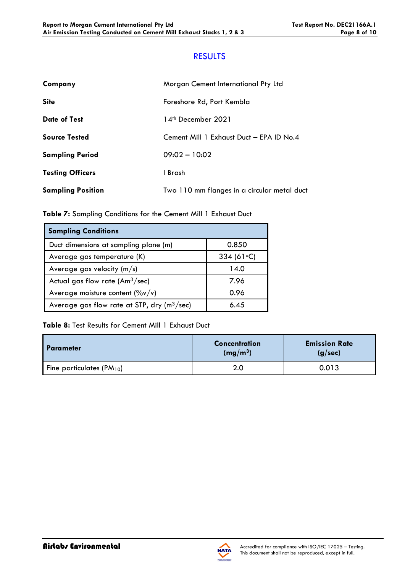### RESULTS

| Company                  | Morgan Cement International Pty Ltd         |
|--------------------------|---------------------------------------------|
| <b>Site</b>              | Foreshore Rd, Port Kembla                   |
| <b>Date of Test</b>      | 14th December 2021                          |
| <b>Source Tested</b>     | Cement Mill 1 Exhaust Duct - EPA ID No.4    |
| <b>Sampling Period</b>   | $09:02 - 10:02$                             |
| <b>Testing Officers</b>  | I Brash                                     |
| <b>Sampling Position</b> | Two 110 mm flanges in a circular metal duct |

**Table 7:** Sampling Conditions for the Cement Mill 1 Exhaust Duct

| <b>Sampling Conditions</b>                    |                      |
|-----------------------------------------------|----------------------|
| Duct dimensions at sampling plane (m)         | 0.850                |
| Average gas temperature (K)                   | 334 (61 $\degree$ C) |
| Average gas velocity $(m/s)$                  | 14.0                 |
| Actual gas flow rate $(Am^3/sec)$             | 7.96                 |
| Average moisture content $(\%v/v)$            | 0.96                 |
| Average gas flow rate at STP, dry $(m^3/sec)$ | 6.45                 |

**Table 8:** Test Results for Cement Mill 1 Exhaust Duct

| I Parameter                   | <b>Concentration</b><br>(mg/m <sup>3</sup> ) | <b>Emission Rate</b><br>(g/sec) |
|-------------------------------|----------------------------------------------|---------------------------------|
| Fine particulates $(PM_{10})$ | 2.0                                          | 0.013                           |

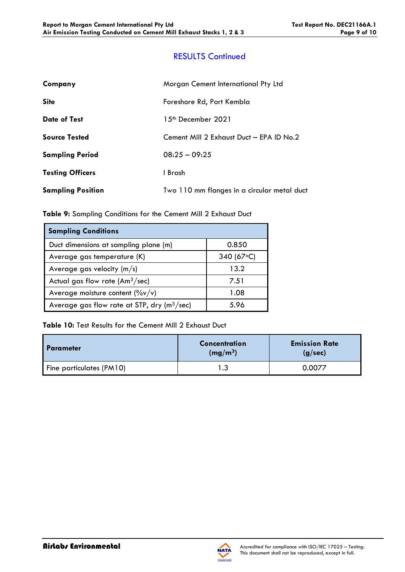## RESULTS Continued

| Company                  | Morgan Cement International Pty Ltd         |  |
|--------------------------|---------------------------------------------|--|
| <b>Site</b>              | Foreshore Rd, Port Kembla                   |  |
| <b>Date of Test</b>      | 15 <sup>th</sup> December 2021              |  |
| <b>Source Tested</b>     | Cement Mill 2 Exhaust Duct - EPA ID No.2    |  |
| <b>Sampling Period</b>   | $08:25 - 09:25$                             |  |
| <b>Testing Officers</b>  | 1 Brash                                     |  |
| <b>Sampling Position</b> | Two 110 mm flanges in a circular metal duct |  |

**Table 9:** Sampling Conditions for the Cement Mill 2 Exhaust Duct

| <b>Sampling Conditions</b>                      |                    |  |
|-------------------------------------------------|--------------------|--|
| Duct dimensions at sampling plane (m)           | 0.850              |  |
| Average gas temperature (K)                     | 340 (67 $\circ$ C) |  |
| Average gas velocity $(m/s)$                    | 13.2               |  |
| Actual gas flow rate $(Am^3/sec)$               | 7.51               |  |
| Average moisture content $(\%v/v)$              | 1.08               |  |
| Average gas flow rate at STP, dry ( $m^3$ /sec) | 5.96               |  |

**Table 10:** Test Results for the Cement Mill 2 Exhaust Duct

| I Parameter              | Concentration<br>(mg/m <sup>3</sup> ) | <b>Emission Rate</b><br>(g/sec) |
|--------------------------|---------------------------------------|---------------------------------|
| Fine particulates (PM10) |                                       | 0.0077                          |